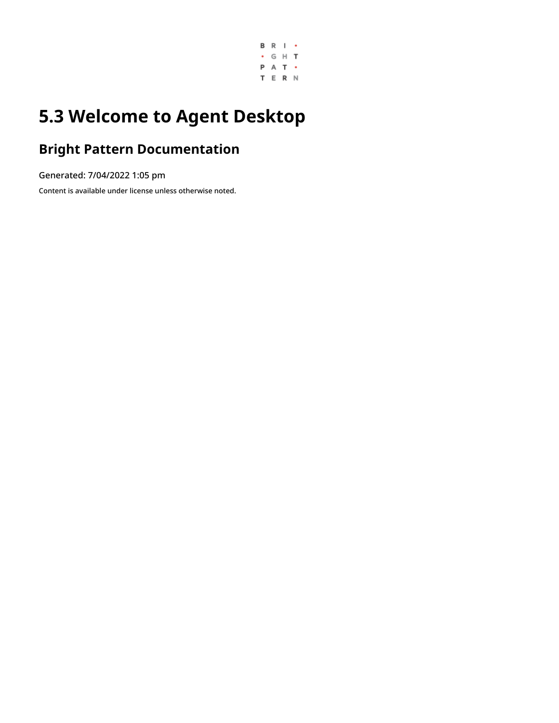

## **5.3 Welcome to Agent Desktop**

#### **Bright Pattern Documentation**

Generated: 7/04/2022 1:05 pm

Content is available under license unless otherwise noted.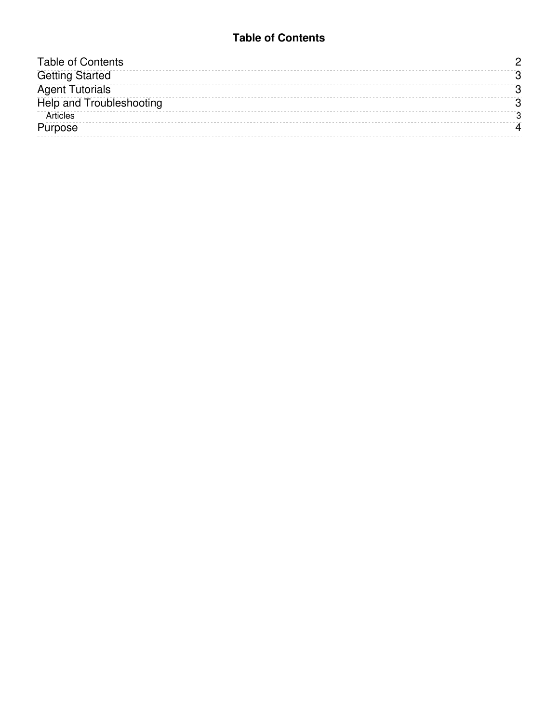#### **Table of Contents**

<span id="page-1-0"></span>

| <b>Table of Contents</b>        |  |
|---------------------------------|--|
| <b>Getting Started</b>          |  |
| <b>Agent Tutorials</b>          |  |
| <b>Help and Troubleshooting</b> |  |
| Articles                        |  |
| Purpose                         |  |
|                                 |  |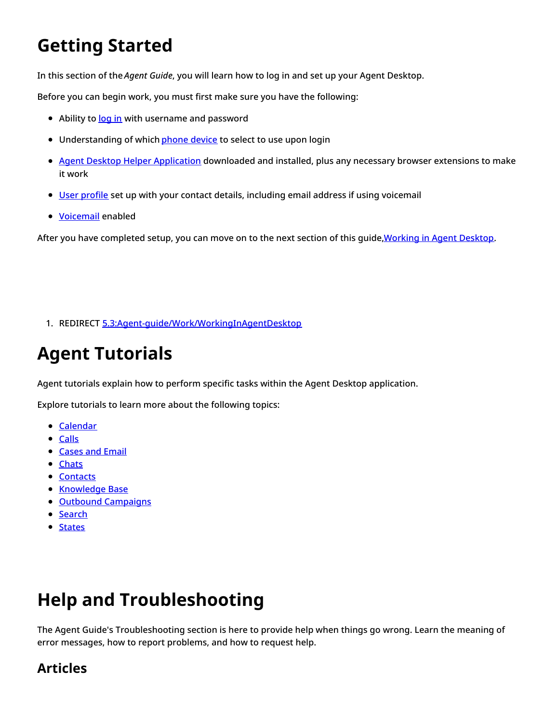# <span id="page-2-0"></span>**Getting Started**

In this section of the *Agent Guide*, you will learn how to log in and set up your Agent Desktop.

Before you can begin work, you must first make sure you have the following:

- Ability to [log](https://help.brightpattern.com/5.3:Agent-guide/Welcome/?action=html-localimages-export#topic_agent-guide.2Fsetup.2Floggingin) in with username and password
- Understanding of which *[phone](https://help.brightpattern.com/5.3:Agent-guide/Welcome/?action=html-localimages-export#topic_agent-guide.2Fsetup.2Fphonedevice) device* to select to use upon login
- Agent Desktop Helper [Application](https://help.brightpattern.com/5.3:Agent-guide/Welcome/?action=html-localimages-export#topic_agent-guide.2Fsetup.2Fagentdesktophelperapplication) downloaded and installed, plus any necessary browser extensions to make it work
- User [profile](https://help.brightpattern.com/5.3:Agent-guide/Welcome/?action=html-localimages-export#topic_agent-guide.2Fsetup.2Fuserprofile) set up with your contact details, including email address if using voicemail
- [Voicemail](https://help.brightpattern.com/5.3:Agent-guide/Welcome/?action=html-localimages-export#topic_agent-guide.2Fsetup.2Fvoicemail) enabled

After you have completed setup, you can move on to the next section of this quide, Working in Agent Desktop.

1. REDIRECT [5.3:Agent-guide/Work/WorkingInAgentDesktop](https://help.brightpattern.com/5.3:Agent-guide/Work/WorkingInAgentDesktop)

## <span id="page-2-1"></span>**Agent Tutorials**

Agent tutorials explain how to perform specific tasks within the Agent Desktop application.

Explore tutorials to learn more about the following topics:

- [Calendar](https://help.brightpattern.com/5.3:Agent-guide/Welcome/?action=html-localimages-export#topic_agent-guide.2Ftutorials.2Fcalendar)
- [Calls](https://help.brightpattern.com/5.3:Agent-guide/Welcome/?action=html-localimages-export#topic_agent-guide.2Ftutorials.2Fcalls.2Foverview)
- **[Cases](https://help.brightpattern.com/5.3:Agent-guide/Welcome/?action=html-localimages-export#topic_agent-guide.2Ftutorials.2Fcases) and Email**
- [Chats](https://help.brightpattern.com/5.3:Agent-guide/Welcome/?action=html-localimages-export#topic_agent-guide.2Ftutorials.2Fchat)
- [Contacts](https://help.brightpattern.com/5.3:Agent-guide/Welcome/?action=html-localimages-export#topic_agent-guide.2Ftutorials.2Fcontacts)
- **[Knowledge](https://help.brightpattern.com/5.3:Agent-guide/Welcome/?action=html-localimages-export#topic_agent-guide.2Ftutorials.2Fknowledgebase) Base**
- Outbound [Campaigns](https://help.brightpattern.com/5.3:Agent-guide/Welcome/?action=html-localimages-export#topic_agent-guide.2Ftutorials.2Foutboundcampaigns)
- [Search](https://help.brightpattern.com/5.3:Agent-guide/Welcome/?action=html-localimages-export#topic_agent-guide.2Ftutorials.2Fsearch)
- [States](https://help.brightpattern.com/5.3:Agent-guide/Welcome/?action=html-localimages-export#topic_agent-guide.2Ftutorials.2Fstates)

# <span id="page-2-2"></span>**Help and Troubleshooting**

The Agent Guide's Troubleshooting section is here to provide help when things go wrong. Learn the meaning of error messages, how to report problems, and how to request help.

#### <span id="page-2-3"></span>**Articles**